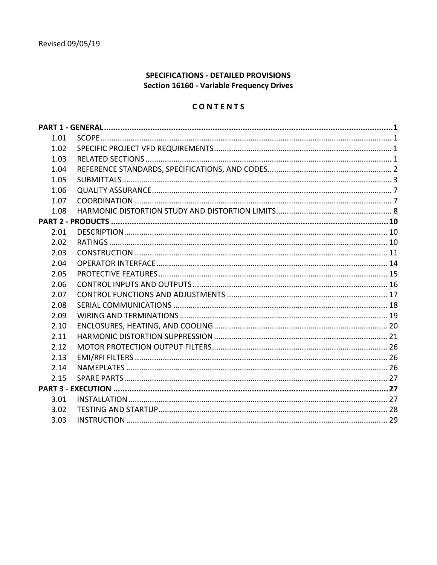# SPECIFICATIONS - DETAILED PROVISIONS Section 16160 - Variable Frequency Drives

# CONTENTS

| 1.01 |  |
|------|--|
| 1.02 |  |
| 1.03 |  |
| 1.04 |  |
| 1.05 |  |
| 1.06 |  |
| 1.07 |  |
| 1.08 |  |
|      |  |
| 2.01 |  |
| 2.02 |  |
| 2.03 |  |
| 2.04 |  |
| 2.05 |  |
| 2.06 |  |
| 2.07 |  |
| 2.08 |  |
| 2.09 |  |
| 2.10 |  |
| 2.11 |  |
| 2.12 |  |
| 2.13 |  |
| 2.14 |  |
| 2.15 |  |
|      |  |
| 3.01 |  |
| 3.02 |  |
| 3.03 |  |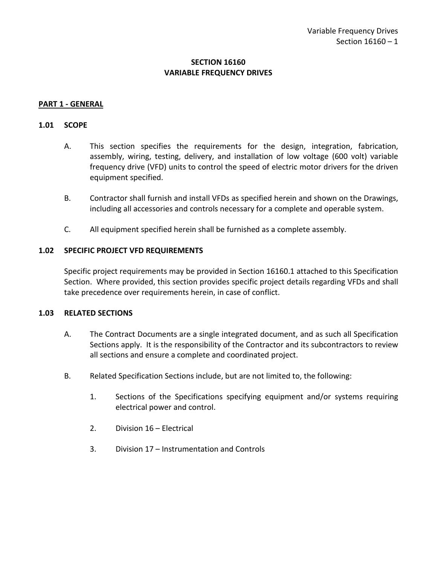# **SECTION 16160 VARIABLE FREQUENCY DRIVES**

### <span id="page-2-0"></span>**PART 1 - GENERAL**

#### <span id="page-2-1"></span>**1.01 SCOPE**

- A. This section specifies the requirements for the design, integration, fabrication, assembly, wiring, testing, delivery, and installation of low voltage (600 volt) variable frequency drive (VFD) units to control the speed of electric motor drivers for the driven equipment specified.
- B. Contractor shall furnish and install VFDs as specified herein and shown on the Drawings, including all accessories and controls necessary for a complete and operable system.
- C. All equipment specified herein shall be furnished as a complete assembly.

### <span id="page-2-2"></span>**1.02 SPECIFIC PROJECT VFD REQUIREMENTS**

Specific project requirements may be provided in Section 16160.1 attached to this Specification Section. Where provided, this section provides specific project details regarding VFDs and shall take precedence over requirements herein, in case of conflict.

#### <span id="page-2-3"></span>**1.03 RELATED SECTIONS**

- A. The Contract Documents are a single integrated document, and as such all Specification Sections apply. It is the responsibility of the Contractor and its subcontractors to review all sections and ensure a complete and coordinated project.
- B. Related Specification Sections include, but are not limited to, the following:
	- 1. Sections of the Specifications specifying equipment and/or systems requiring electrical power and control.
	- 2. Division 16 Electrical
	- 3. Division 17 Instrumentation and Controls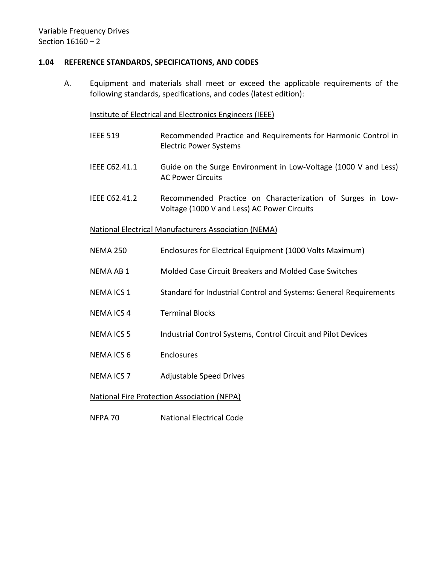### <span id="page-3-0"></span>**1.04 REFERENCE STANDARDS, SPECIFICATIONS, AND CODES**

A. Equipment and materials shall meet or exceed the applicable requirements of the following standards, specifications, and codes (latest edition):

### Institute of Electrical and Electronics Engineers (IEEE)

- IEEE 519 Recommended Practice and Requirements for Harmonic Control in Electric Power Systems
- IEEE C62.41.1 Guide on the Surge Environment in Low-Voltage (1000 V and Less) AC Power Circuits
- IEEE C62.41.2 Recommended Practice on Characterization of Surges in Low-Voltage (1000 V and Less) AC Power Circuits

## National Electrical Manufacturers Association (NEMA)

- NEMA 250 Enclosures for Electrical Equipment (1000 Volts Maximum)
- NEMA AB 1 Molded Case Circuit Breakers and Molded Case Switches
- NEMA ICS 1 Standard for Industrial Control and Systems: General Requirements
- NEMA ICS 4 Terminal Blocks
- NEMA ICS 5 Industrial Control Systems, Control Circuit and Pilot Devices
- NEMA ICS 6 Enclosures
- NEMA ICS 7 Adjustable Speed Drives

## National Fire Protection Association (NFPA)

NFPA 70 National Electrical Code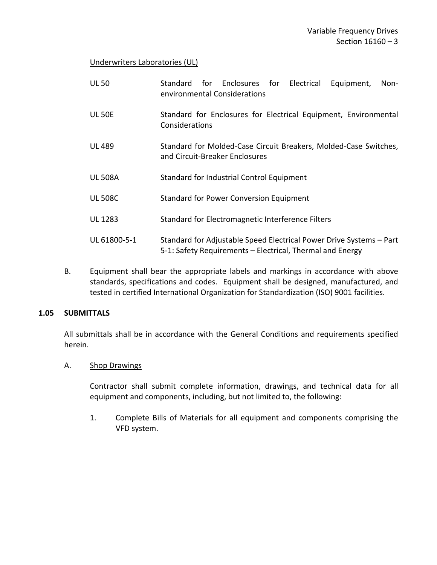## Underwriters Laboratories (UL)

| <b>UL 50</b>   | Standard for Enclosures for Electrical<br>Equipment,<br>Non-<br>environmental Considerations                                     |
|----------------|----------------------------------------------------------------------------------------------------------------------------------|
| <b>UL 50E</b>  | Standard for Enclosures for Electrical Equipment, Environmental<br>Considerations                                                |
| <b>UL 489</b>  | Standard for Molded-Case Circuit Breakers, Molded-Case Switches,<br>and Circuit-Breaker Enclosures                               |
| <b>UL 508A</b> | Standard for Industrial Control Equipment                                                                                        |
| <b>UL 508C</b> | <b>Standard for Power Conversion Equipment</b>                                                                                   |
| <b>UL 1283</b> | Standard for Electromagnetic Interference Filters                                                                                |
| UL 61800-5-1   | Standard for Adjustable Speed Electrical Power Drive Systems - Part<br>5-1: Safety Requirements - Electrical, Thermal and Energy |

B. Equipment shall bear the appropriate labels and markings in accordance with above standards, specifications and codes. Equipment shall be designed, manufactured, and tested in certified International Organization for Standardization (ISO) 9001 facilities.

## <span id="page-4-0"></span>**1.05 SUBMITTALS**

All submittals shall be in accordance with the General Conditions and requirements specified herein.

## A. Shop Drawings

Contractor shall submit complete information, drawings, and technical data for all equipment and components, including, but not limited to, the following:

1. Complete Bills of Materials for all equipment and components comprising the VFD system.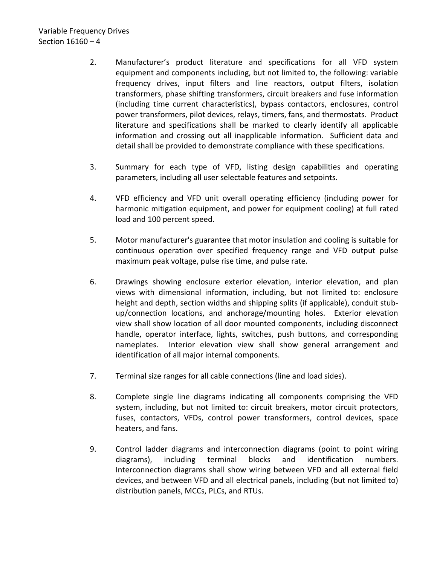# Variable Frequency Drives Section 16160 – 4

- 2. Manufacturer's product literature and specifications for all VFD system equipment and components including, but not limited to, the following: variable frequency drives, input filters and line reactors, output filters, isolation transformers, phase shifting transformers, circuit breakers and fuse information (including time current characteristics), bypass contactors, enclosures, control power transformers, pilot devices, relays, timers, fans, and thermostats. Product literature and specifications shall be marked to clearly identify all applicable information and crossing out all inapplicable information. Sufficient data and detail shall be provided to demonstrate compliance with these specifications.
- 3. Summary for each type of VFD, listing design capabilities and operating parameters, including all user selectable features and setpoints.
- 4. VFD efficiency and VFD unit overall operating efficiency (including power for harmonic mitigation equipment, and power for equipment cooling) at full rated load and 100 percent speed.
- 5. Motor manufacturer's guarantee that motor insulation and cooling is suitable for continuous operation over specified frequency range and VFD output pulse maximum peak voltage, pulse rise time, and pulse rate.
- 6. Drawings showing enclosure exterior elevation, interior elevation, and plan views with dimensional information, including, but not limited to: enclosure height and depth, section widths and shipping splits (if applicable), conduit stubup/connection locations, and anchorage/mounting holes. Exterior elevation view shall show location of all door mounted components, including disconnect handle, operator interface, lights, switches, push buttons, and corresponding nameplates. Interior elevation view shall show general arrangement and identification of all major internal components.
- 7. Terminal size ranges for all cable connections (line and load sides).
- 8. Complete single line diagrams indicating all components comprising the VFD system, including, but not limited to: circuit breakers, motor circuit protectors, fuses, contactors, VFDs, control power transformers, control devices, space heaters, and fans.
- 9. Control ladder diagrams and interconnection diagrams (point to point wiring diagrams), including terminal blocks and identification numbers. Interconnection diagrams shall show wiring between VFD and all external field devices, and between VFD and all electrical panels, including (but not limited to) distribution panels, MCCs, PLCs, and RTUs.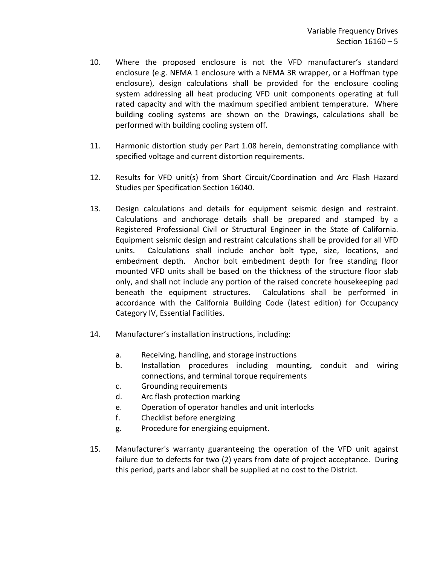- 10. Where the proposed enclosure is not the VFD manufacturer's standard enclosure (e.g. NEMA 1 enclosure with a NEMA 3R wrapper, or a Hoffman type enclosure), design calculations shall be provided for the enclosure cooling system addressing all heat producing VFD unit components operating at full rated capacity and with the maximum specified ambient temperature. Where building cooling systems are shown on the Drawings, calculations shall be performed with building cooling system off.
- 11. Harmonic distortion study per Part 1.08 herein, demonstrating compliance with specified voltage and current distortion requirements.
- 12. Results for VFD unit(s) from Short Circuit/Coordination and Arc Flash Hazard Studies per Specification Section 16040.
- 13. Design calculations and details for equipment seismic design and restraint. Calculations and anchorage details shall be prepared and stamped by a Registered Professional Civil or Structural Engineer in the State of California. Equipment seismic design and restraint calculations shall be provided for all VFD units. Calculations shall include anchor bolt type, size, locations, and embedment depth. Anchor bolt embedment depth for free standing floor mounted VFD units shall be based on the thickness of the structure floor slab only, and shall not include any portion of the raised concrete housekeeping pad beneath the equipment structures. Calculations shall be performed in accordance with the California Building Code (latest edition) for Occupancy Category IV, Essential Facilities.
- 14. Manufacturer's installation instructions, including:
	- a. Receiving, handling, and storage instructions
	- b. Installation procedures including mounting, conduit and wiring connections, and terminal torque requirements
	- c. Grounding requirements
	- d. Arc flash protection marking
	- e. Operation of operator handles and unit interlocks
	- f. Checklist before energizing
	- g. Procedure for energizing equipment.
- 15. Manufacturer's warranty guaranteeing the operation of the VFD unit against failure due to defects for two (2) years from date of project acceptance. During this period, parts and labor shall be supplied at no cost to the District.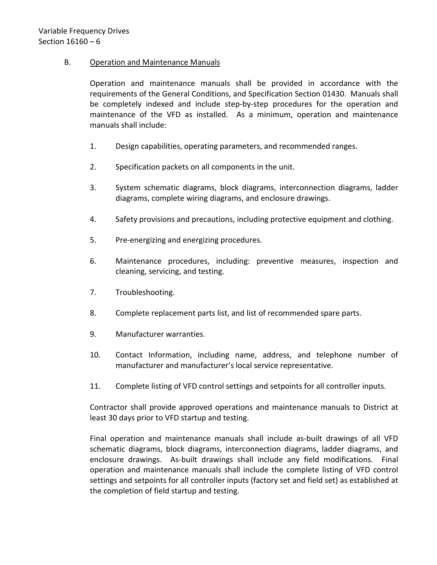# B. Operation and Maintenance Manuals

Operation and maintenance manuals shall be provided in accordance with the requirements of the General Conditions, and Specification Section 01430. Manuals shall be completely indexed and include step-by-step procedures for the operation and maintenance of the VFD as installed. As a minimum, operation and maintenance manuals shall include:

- 1. Design capabilities, operating parameters, and recommended ranges.
- 2. Specification packets on all components in the unit.
- 3. System schematic diagrams, block diagrams, interconnection diagrams, ladder diagrams, complete wiring diagrams, and enclosure drawings.
- 4. Safety provisions and precautions, including protective equipment and clothing.
- 5. Pre-energizing and energizing procedures.
- 6. Maintenance procedures, including: preventive measures, inspection and cleaning, servicing, and testing.
- 7. Troubleshooting.
- 8. Complete replacement parts list, and list of recommended spare parts.
- 9. Manufacturer warranties.
- 10. Contact Information, including name, address, and telephone number of manufacturer and manufacturer's local service representative.
- 11. Complete listing of VFD control settings and setpoints for all controller inputs.

Contractor shall provide approved operations and maintenance manuals to District at least 30 days prior to VFD startup and testing.

Final operation and maintenance manuals shall include as-built drawings of all VFD schematic diagrams, block diagrams, interconnection diagrams, ladder diagrams, and enclosure drawings. As-built drawings shall include any field modifications. Final operation and maintenance manuals shall include the complete listing of VFD control settings and setpoints for all controller inputs (factory set and field set) as established at the completion of field startup and testing.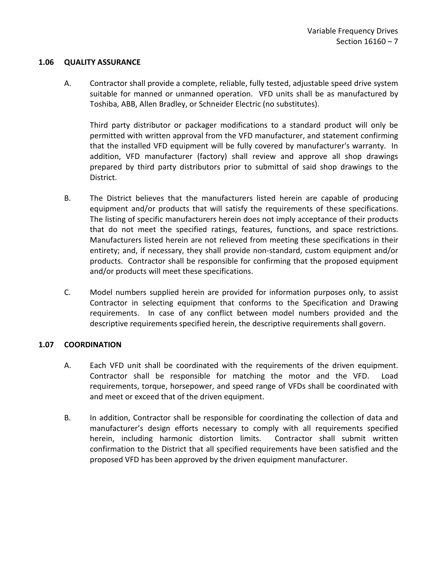### <span id="page-8-0"></span>**1.06 QUALITY ASSURANCE**

A. Contractor shall provide a complete, reliable, fully tested, adjustable speed drive system suitable for manned or unmanned operation. VFD units shall be as manufactured by Toshiba, ABB, Allen Bradley, or Schneider Electric (no substitutes).

Third party distributor or packager modifications to a standard product will only be permitted with written approval from the VFD manufacturer, and statement confirming that the installed VFD equipment will be fully covered by manufacturer's warranty. In addition, VFD manufacturer (factory) shall review and approve all shop drawings prepared by third party distributors prior to submittal of said shop drawings to the District.

- B. The District believes that the manufacturers listed herein are capable of producing equipment and/or products that will satisfy the requirements of these specifications. The listing of specific manufacturers herein does not imply acceptance of their products that do not meet the specified ratings, features, functions, and space restrictions. Manufacturers listed herein are not relieved from meeting these specifications in their entirety; and, if necessary, they shall provide non-standard, custom equipment and/or products. Contractor shall be responsible for confirming that the proposed equipment and/or products will meet these specifications.
- C. Model numbers supplied herein are provided for information purposes only, to assist Contractor in selecting equipment that conforms to the Specification and Drawing requirements. In case of any conflict between model numbers provided and the descriptive requirements specified herein, the descriptive requirements shall govern.

## <span id="page-8-1"></span>**1.07 COORDINATION**

- A. Each VFD unit shall be coordinated with the requirements of the driven equipment. Contractor shall be responsible for matching the motor and the VFD. Load requirements, torque, horsepower, and speed range of VFDs shall be coordinated with and meet or exceed that of the driven equipment.
- B. In addition, Contractor shall be responsible for coordinating the collection of data and manufacturer's design efforts necessary to comply with all requirements specified herein, including harmonic distortion limits. Contractor shall submit written confirmation to the District that all specified requirements have been satisfied and the proposed VFD has been approved by the driven equipment manufacturer.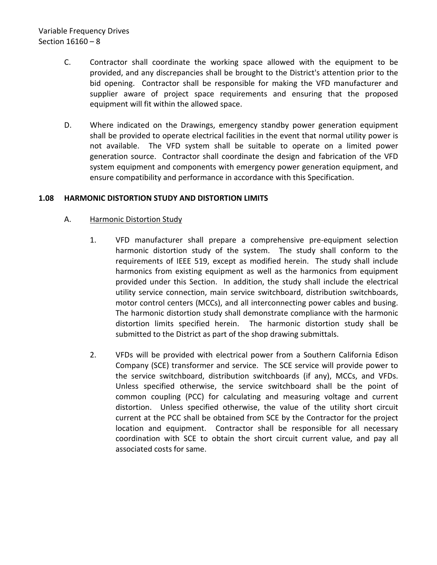# Variable Frequency Drives Section 16160 – 8

- C. Contractor shall coordinate the working space allowed with the equipment to be provided, and any discrepancies shall be brought to the District's attention prior to the bid opening. Contractor shall be responsible for making the VFD manufacturer and supplier aware of project space requirements and ensuring that the proposed equipment will fit within the allowed space.
- D. Where indicated on the Drawings, emergency standby power generation equipment shall be provided to operate electrical facilities in the event that normal utility power is not available. The VFD system shall be suitable to operate on a limited power generation source. Contractor shall coordinate the design and fabrication of the VFD system equipment and components with emergency power generation equipment, and ensure compatibility and performance in accordance with this Specification.

# <span id="page-9-0"></span>**1.08 HARMONIC DISTORTION STUDY AND DISTORTION LIMITS**

# A. Harmonic Distortion Study

- 1. VFD manufacturer shall prepare a comprehensive pre-equipment selection harmonic distortion study of the system. The study shall conform to the requirements of IEEE 519, except as modified herein. The study shall include harmonics from existing equipment as well as the harmonics from equipment provided under this Section. In addition, the study shall include the electrical utility service connection, main service switchboard, distribution switchboards, motor control centers (MCCs), and all interconnecting power cables and busing. The harmonic distortion study shall demonstrate compliance with the harmonic distortion limits specified herein. The harmonic distortion study shall be submitted to the District as part of the shop drawing submittals.
- 2. VFDs will be provided with electrical power from a Southern California Edison Company (SCE) transformer and service. The SCE service will provide power to the service switchboard, distribution switchboards (if any), MCCs, and VFDs. Unless specified otherwise, the service switchboard shall be the point of common coupling (PCC) for calculating and measuring voltage and current distortion. Unless specified otherwise, the value of the utility short circuit current at the PCC shall be obtained from SCE by the Contractor for the project location and equipment. Contractor shall be responsible for all necessary coordination with SCE to obtain the short circuit current value, and pay all associated costs for same.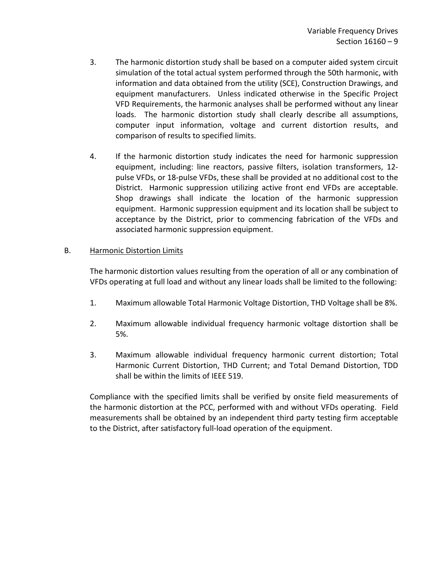- 3. The harmonic distortion study shall be based on a computer aided system circuit simulation of the total actual system performed through the 50th harmonic, with information and data obtained from the utility (SCE), Construction Drawings, and equipment manufacturers. Unless indicated otherwise in the Specific Project VFD Requirements, the harmonic analyses shall be performed without any linear loads. The harmonic distortion study shall clearly describe all assumptions, computer input information, voltage and current distortion results, and comparison of results to specified limits.
- 4. If the harmonic distortion study indicates the need for harmonic suppression equipment, including: line reactors, passive filters, isolation transformers, 12 pulse VFDs, or 18-pulse VFDs, these shall be provided at no additional cost to the District. Harmonic suppression utilizing active front end VFDs are acceptable. Shop drawings shall indicate the location of the harmonic suppression equipment. Harmonic suppression equipment and its location shall be subject to acceptance by the District, prior to commencing fabrication of the VFDs and associated harmonic suppression equipment.

## B. Harmonic Distortion Limits

The harmonic distortion values resulting from the operation of all or any combination of VFDs operating at full load and without any linear loads shall be limited to the following:

- 1. Maximum allowable Total Harmonic Voltage Distortion, THD Voltage shall be 8%.
- 2. Maximum allowable individual frequency harmonic voltage distortion shall be 5%.
- 3. Maximum allowable individual frequency harmonic current distortion; Total Harmonic Current Distortion, THD Current; and Total Demand Distortion, TDD shall be within the limits of IEEE 519.

Compliance with the specified limits shall be verified by onsite field measurements of the harmonic distortion at the PCC, performed with and without VFDs operating. Field measurements shall be obtained by an independent third party testing firm acceptable to the District, after satisfactory full-load operation of the equipment.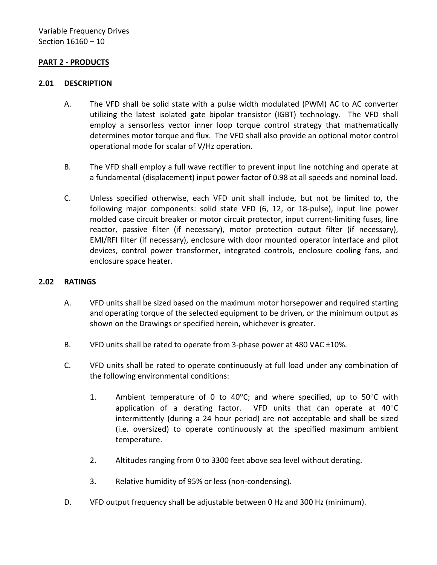## <span id="page-11-0"></span>**PART 2 - PRODUCTS**

#### <span id="page-11-1"></span>**2.01 DESCRIPTION**

- A. The VFD shall be solid state with a pulse width modulated (PWM) AC to AC converter utilizing the latest isolated gate bipolar transistor (IGBT) technology. The VFD shall employ a sensorless vector inner loop torque control strategy that mathematically determines motor torque and flux. The VFD shall also provide an optional motor control operational mode for scalar of V/Hz operation.
- B. The VFD shall employ a full wave rectifier to prevent input line notching and operate at a fundamental (displacement) input power factor of 0.98 at all speeds and nominal load.
- C. Unless specified otherwise, each VFD unit shall include, but not be limited to, the following major components: solid state VFD (6, 12, or 18-pulse), input line power molded case circuit breaker or motor circuit protector, input current-limiting fuses, line reactor, passive filter (if necessary), motor protection output filter (if necessary), EMI/RFI filter (if necessary), enclosure with door mounted operator interface and pilot devices, control power transformer, integrated controls, enclosure cooling fans, and enclosure space heater.

#### <span id="page-11-2"></span>**2.02 RATINGS**

- A. VFD units shall be sized based on the maximum motor horsepower and required starting and operating torque of the selected equipment to be driven, or the minimum output as shown on the Drawings or specified herein, whichever is greater.
- B. VFD units shall be rated to operate from 3-phase power at 480 VAC ±10%.
- C. VFD units shall be rated to operate continuously at full load under any combination of the following environmental conditions:
	- 1. Ambient temperature of 0 to 40 $^{\circ}$ C; and where specified, up to 50 $^{\circ}$ C with application of a derating factor. VFD units that can operate at 40°C intermittently (during a 24 hour period) are not acceptable and shall be sized (i.e. oversized) to operate continuously at the specified maximum ambient temperature.
	- 2. Altitudes ranging from 0 to 3300 feet above sea level without derating.
	- 3. Relative humidity of 95% or less (non-condensing).
- D. VFD output frequency shall be adjustable between 0 Hz and 300 Hz (minimum).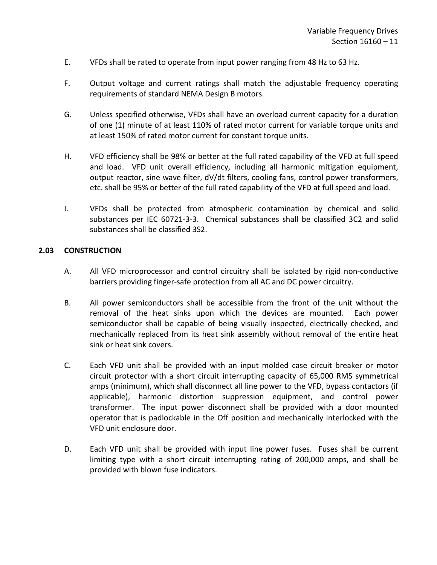- E. VFDs shall be rated to operate from input power ranging from 48 Hz to 63 Hz.
- F. Output voltage and current ratings shall match the adjustable frequency operating requirements of standard NEMA Design B motors.
- G. Unless specified otherwise, VFDs shall have an overload current capacity for a duration of one (1) minute of at least 110% of rated motor current for variable torque units and at least 150% of rated motor current for constant torque units.
- H. VFD efficiency shall be 98% or better at the full rated capability of the VFD at full speed and load. VFD unit overall efficiency, including all harmonic mitigation equipment, output reactor, sine wave filter, dV/dt filters, cooling fans, control power transformers, etc. shall be 95% or better of the full rated capability of the VFD at full speed and load.
- I. VFDs shall be protected from atmospheric contamination by chemical and solid substances per IEC 60721-3-3. Chemical substances shall be classified 3C2 and solid substances shall be classified 3S2.

### <span id="page-12-0"></span>**2.03 CONSTRUCTION**

- A. All VFD microprocessor and control circuitry shall be isolated by rigid non-conductive barriers providing finger-safe protection from all AC and DC power circuitry.
- B. All power semiconductors shall be accessible from the front of the unit without the removal of the heat sinks upon which the devices are mounted. Each power semiconductor shall be capable of being visually inspected, electrically checked, and mechanically replaced from its heat sink assembly without removal of the entire heat sink or heat sink covers.
- C. Each VFD unit shall be provided with an input molded case circuit breaker or motor circuit protector with a short circuit interrupting capacity of 65,000 RMS symmetrical amps (minimum), which shall disconnect all line power to the VFD, bypass contactors (if applicable), harmonic distortion suppression equipment, and control power transformer. The input power disconnect shall be provided with a door mounted operator that is padlockable in the Off position and mechanically interlocked with the VFD unit enclosure door.
- D. Each VFD unit shall be provided with input line power fuses. Fuses shall be current limiting type with a short circuit interrupting rating of 200,000 amps, and shall be provided with blown fuse indicators.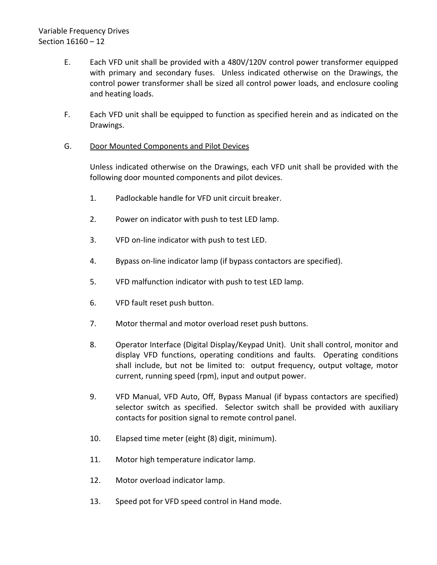- E. Each VFD unit shall be provided with a 480V/120V control power transformer equipped with primary and secondary fuses. Unless indicated otherwise on the Drawings, the control power transformer shall be sized all control power loads, and enclosure cooling and heating loads.
- F. Each VFD unit shall be equipped to function as specified herein and as indicated on the Drawings.

# G. Door Mounted Components and Pilot Devices

Unless indicated otherwise on the Drawings, each VFD unit shall be provided with the following door mounted components and pilot devices.

- 1. Padlockable handle for VFD unit circuit breaker.
- 2. Power on indicator with push to test LED lamp.
- 3. VFD on-line indicator with push to test LED.
- 4. Bypass on-line indicator lamp (if bypass contactors are specified).
- 5. VFD malfunction indicator with push to test LED lamp.
- 6. VFD fault reset push button.
- 7. Motor thermal and motor overload reset push buttons.
- 8. Operator Interface (Digital Display/Keypad Unit). Unit shall control, monitor and display VFD functions, operating conditions and faults. Operating conditions shall include, but not be limited to: output frequency, output voltage, motor current, running speed (rpm), input and output power.
- 9. VFD Manual, VFD Auto, Off, Bypass Manual (if bypass contactors are specified) selector switch as specified. Selector switch shall be provided with auxiliary contacts for position signal to remote control panel.
- 10. Elapsed time meter (eight (8) digit, minimum).
- 11. Motor high temperature indicator lamp.
- 12. Motor overload indicator lamp.
- 13. Speed pot for VFD speed control in Hand mode.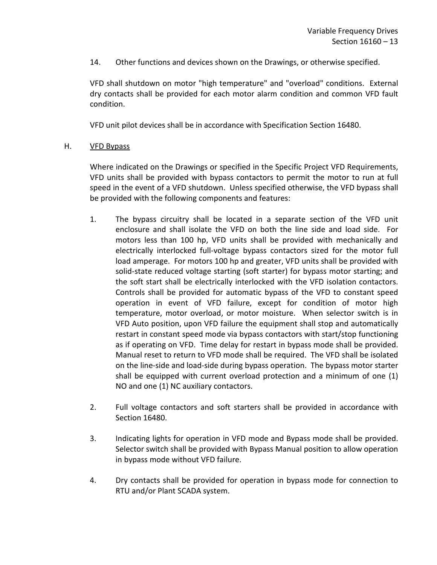14. Other functions and devices shown on the Drawings, or otherwise specified.

VFD shall shutdown on motor "high temperature" and "overload" conditions. External dry contacts shall be provided for each motor alarm condition and common VFD fault condition.

VFD unit pilot devices shall be in accordance with Specification Section 16480.

### H. VFD Bypass

Where indicated on the Drawings or specified in the Specific Project VFD Requirements, VFD units shall be provided with bypass contactors to permit the motor to run at full speed in the event of a VFD shutdown. Unless specified otherwise, the VFD bypass shall be provided with the following components and features:

- 1. The bypass circuitry shall be located in a separate section of the VFD unit enclosure and shall isolate the VFD on both the line side and load side. For motors less than 100 hp, VFD units shall be provided with mechanically and electrically interlocked full-voltage bypass contactors sized for the motor full load amperage. For motors 100 hp and greater, VFD units shall be provided with solid-state reduced voltage starting (soft starter) for bypass motor starting; and the soft start shall be electrically interlocked with the VFD isolation contactors. Controls shall be provided for automatic bypass of the VFD to constant speed operation in event of VFD failure, except for condition of motor high temperature, motor overload, or motor moisture. When selector switch is in VFD Auto position, upon VFD failure the equipment shall stop and automatically restart in constant speed mode via bypass contactors with start/stop functioning as if operating on VFD. Time delay for restart in bypass mode shall be provided. Manual reset to return to VFD mode shall be required. The VFD shall be isolated on the line-side and load-side during bypass operation. The bypass motor starter shall be equipped with current overload protection and a minimum of one (1) NO and one (1) NC auxiliary contactors.
- 2. Full voltage contactors and soft starters shall be provided in accordance with Section 16480.
- 3. Indicating lights for operation in VFD mode and Bypass mode shall be provided. Selector switch shall be provided with Bypass Manual position to allow operation in bypass mode without VFD failure.
- 4. Dry contacts shall be provided for operation in bypass mode for connection to RTU and/or Plant SCADA system.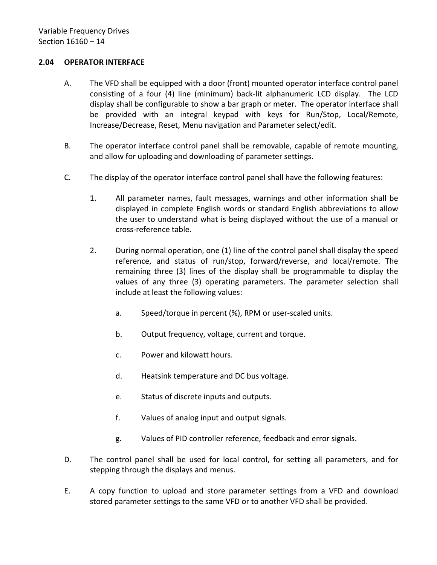## <span id="page-15-0"></span>**2.04 OPERATOR INTERFACE**

- A. The VFD shall be equipped with a door (front) mounted operator interface control panel consisting of a four (4) line (minimum) back-lit alphanumeric LCD display. The LCD display shall be configurable to show a bar graph or meter. The operator interface shall be provided with an integral keypad with keys for Run/Stop, Local/Remote, Increase/Decrease, Reset, Menu navigation and Parameter select/edit.
- B. The operator interface control panel shall be removable, capable of remote mounting, and allow for uploading and downloading of parameter settings.
- C. The display of the operator interface control panel shall have the following features:
	- 1. All parameter names, fault messages, warnings and other information shall be displayed in complete English words or standard English abbreviations to allow the user to understand what is being displayed without the use of a manual or cross-reference table.
	- 2. During normal operation, one (1) line of the control panel shall display the speed reference, and status of run/stop, forward/reverse, and local/remote. The remaining three (3) lines of the display shall be programmable to display the values of any three (3) operating parameters. The parameter selection shall include at least the following values:
		- a. Speed/torque in percent (%), RPM or user-scaled units.
		- b. Output frequency, voltage, current and torque.
		- c. Power and kilowatt hours.
		- d. Heatsink temperature and DC bus voltage.
		- e. Status of discrete inputs and outputs.
		- f. Values of analog input and output signals.
		- g. Values of PID controller reference, feedback and error signals.
- D. The control panel shall be used for local control, for setting all parameters, and for stepping through the displays and menus.
- E. A copy function to upload and store parameter settings from a VFD and download stored parameter settings to the same VFD or to another VFD shall be provided.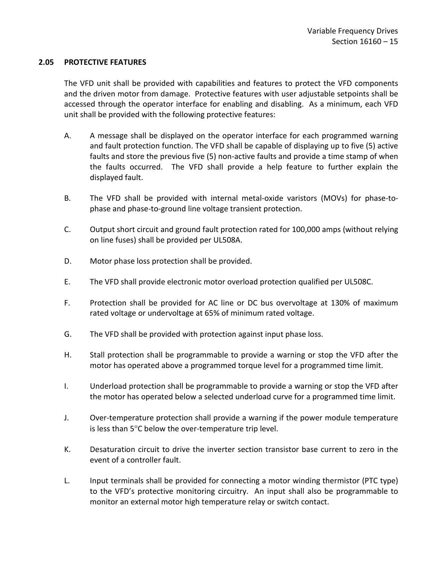### <span id="page-16-0"></span>**2.05 PROTECTIVE FEATURES**

The VFD unit shall be provided with capabilities and features to protect the VFD components and the driven motor from damage. Protective features with user adjustable setpoints shall be accessed through the operator interface for enabling and disabling. As a minimum, each VFD unit shall be provided with the following protective features:

- A. A message shall be displayed on the operator interface for each programmed warning and fault protection function. The VFD shall be capable of displaying up to five (5) active faults and store the previous five (5) non-active faults and provide a time stamp of when the faults occurred. The VFD shall provide a help feature to further explain the displayed fault.
- B. The VFD shall be provided with internal metal-oxide varistors (MOVs) for phase-tophase and phase-to-ground line voltage transient protection.
- C. Output short circuit and ground fault protection rated for 100,000 amps (without relying on line fuses) shall be provided per UL508A.
- D. Motor phase loss protection shall be provided.
- E. The VFD shall provide electronic motor overload protection qualified per UL508C.
- F. Protection shall be provided for AC line or DC bus overvoltage at 130% of maximum rated voltage or undervoltage at 65% of minimum rated voltage.
- G. The VFD shall be provided with protection against input phase loss.
- H. Stall protection shall be programmable to provide a warning or stop the VFD after the motor has operated above a programmed torque level for a programmed time limit.
- I. Underload protection shall be programmable to provide a warning or stop the VFD after the motor has operated below a selected underload curve for a programmed time limit.
- J. Over-temperature protection shall provide a warning if the power module temperature is less than 5°C below the over-temperature trip level.
- K. Desaturation circuit to drive the inverter section transistor base current to zero in the event of a controller fault.
- L. Input terminals shall be provided for connecting a motor winding thermistor (PTC type) to the VFD's protective monitoring circuitry. An input shall also be programmable to monitor an external motor high temperature relay or switch contact.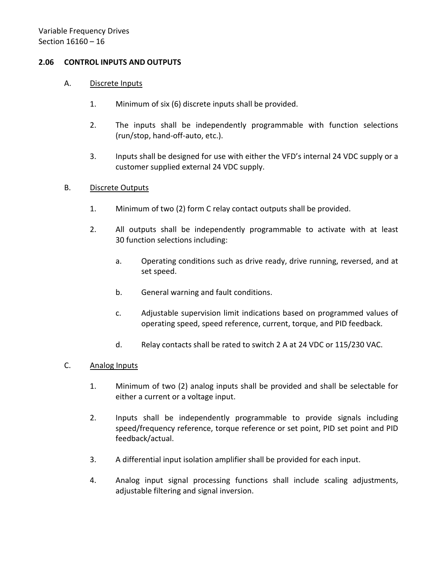## <span id="page-17-0"></span>**2.06 CONTROL INPUTS AND OUTPUTS**

#### A. Discrete Inputs

- 1. Minimum of six (6) discrete inputs shall be provided.
- 2. The inputs shall be independently programmable with function selections (run/stop, hand-off-auto, etc.).
- 3. Inputs shall be designed for use with either the VFD's internal 24 VDC supply or a customer supplied external 24 VDC supply.

### B. Discrete Outputs

- 1. Minimum of two (2) form C relay contact outputs shall be provided.
- 2. All outputs shall be independently programmable to activate with at least 30 function selections including:
	- a. Operating conditions such as drive ready, drive running, reversed, and at set speed.
	- b. General warning and fault conditions.
	- c. Adjustable supervision limit indications based on programmed values of operating speed, speed reference, current, torque, and PID feedback.
	- d. Relay contacts shall be rated to switch 2 A at 24 VDC or 115/230 VAC.

## C. Analog Inputs

- 1. Minimum of two (2) analog inputs shall be provided and shall be selectable for either a current or a voltage input.
- 2. Inputs shall be independently programmable to provide signals including speed/frequency reference, torque reference or set point, PID set point and PID feedback/actual.
- 3. A differential input isolation amplifier shall be provided for each input.
- 4. Analog input signal processing functions shall include scaling adjustments, adjustable filtering and signal inversion.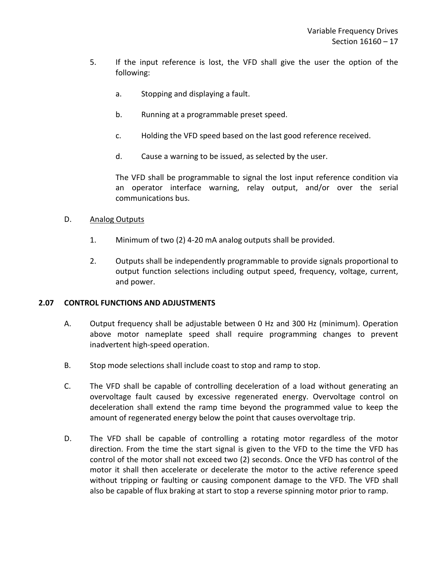- 5. If the input reference is lost, the VFD shall give the user the option of the following:
	- a. Stopping and displaying a fault.
	- b. Running at a programmable preset speed.
	- c. Holding the VFD speed based on the last good reference received.
	- d. Cause a warning to be issued, as selected by the user.

The VFD shall be programmable to signal the lost input reference condition via an operator interface warning, relay output, and/or over the serial communications bus.

### D. Analog Outputs

- 1. Minimum of two (2) 4-20 mA analog outputs shall be provided.
- 2. Outputs shall be independently programmable to provide signals proportional to output function selections including output speed, frequency, voltage, current, and power.

# <span id="page-18-0"></span>**2.07 CONTROL FUNCTIONS AND ADJUSTMENTS**

- A. Output frequency shall be adjustable between 0 Hz and 300 Hz (minimum). Operation above motor nameplate speed shall require programming changes to prevent inadvertent high-speed operation.
- B. Stop mode selections shall include coast to stop and ramp to stop.
- C. The VFD shall be capable of controlling deceleration of a load without generating an overvoltage fault caused by excessive regenerated energy. Overvoltage control on deceleration shall extend the ramp time beyond the programmed value to keep the amount of regenerated energy below the point that causes overvoltage trip.
- D. The VFD shall be capable of controlling a rotating motor regardless of the motor direction. From the time the start signal is given to the VFD to the time the VFD has control of the motor shall not exceed two (2) seconds. Once the VFD has control of the motor it shall then accelerate or decelerate the motor to the active reference speed without tripping or faulting or causing component damage to the VFD. The VFD shall also be capable of flux braking at start to stop a reverse spinning motor prior to ramp.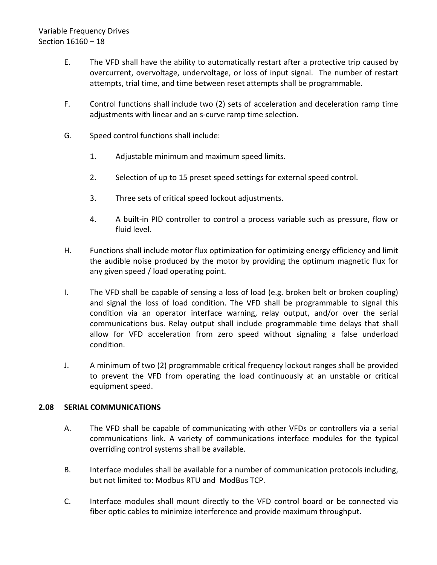# Variable Frequency Drives Section 16160 – 18

- E. The VFD shall have the ability to automatically restart after a protective trip caused by overcurrent, overvoltage, undervoltage, or loss of input signal. The number of restart attempts, trial time, and time between reset attempts shall be programmable.
- F. Control functions shall include two (2) sets of acceleration and deceleration ramp time adjustments with linear and an s-curve ramp time selection.
- G. Speed control functions shall include:
	- 1. Adjustable minimum and maximum speed limits.
	- 2. Selection of up to 15 preset speed settings for external speed control.
	- 3. Three sets of critical speed lockout adjustments.
	- 4. A built-in PID controller to control a process variable such as pressure, flow or fluid level.
- H. Functions shall include motor flux optimization for optimizing energy efficiency and limit the audible noise produced by the motor by providing the optimum magnetic flux for any given speed / load operating point.
- I. The VFD shall be capable of sensing a loss of load (e.g. broken belt or broken coupling) and signal the loss of load condition. The VFD shall be programmable to signal this condition via an operator interface warning, relay output, and/or over the serial communications bus. Relay output shall include programmable time delays that shall allow for VFD acceleration from zero speed without signaling a false underload condition.
- J. A minimum of two (2) programmable critical frequency lockout ranges shall be provided to prevent the VFD from operating the load continuously at an unstable or critical equipment speed.

## <span id="page-19-0"></span>**2.08 SERIAL COMMUNICATIONS**

- A. The VFD shall be capable of communicating with other VFDs or controllers via a serial communications link. A variety of communications interface modules for the typical overriding control systems shall be available.
- B. Interface modules shall be available for a number of communication protocols including, but not limited to: Modbus RTU and ModBus TCP.
- C. Interface modules shall mount directly to the VFD control board or be connected via fiber optic cables to minimize interference and provide maximum throughput.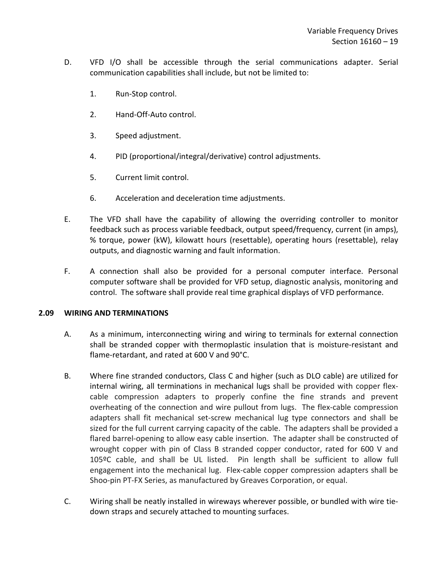- D. VFD I/O shall be accessible through the serial communications adapter. Serial communication capabilities shall include, but not be limited to:
	- 1. Run-Stop control.
	- 2. Hand-Off-Auto control.
	- 3. Speed adjustment.
	- 4. PID (proportional/integral/derivative) control adjustments.
	- 5. Current limit control.
	- 6. Acceleration and deceleration time adjustments.
- E. The VFD shall have the capability of allowing the overriding controller to monitor feedback such as process variable feedback, output speed/frequency, current (in amps), % torque, power (kW), kilowatt hours (resettable), operating hours (resettable), relay outputs, and diagnostic warning and fault information.
- F. A connection shall also be provided for a personal computer interface. Personal computer software shall be provided for VFD setup, diagnostic analysis, monitoring and control. The software shall provide real time graphical displays of VFD performance.

## <span id="page-20-0"></span>**2.09 WIRING AND TERMINATIONS**

- A. As a minimum, interconnecting wiring and wiring to terminals for external connection shall be stranded copper with thermoplastic insulation that is moisture-resistant and flame-retardant, and rated at 600 V and 90°C.
- B. Where fine stranded conductors, Class C and higher (such as DLO cable) are utilized for internal wiring, all terminations in mechanical lugs shall be provided with copper flexcable compression adapters to properly confine the fine strands and prevent overheating of the connection and wire pullout from lugs. The flex-cable compression adapters shall fit mechanical set-screw mechanical lug type connectors and shall be sized for the full current carrying capacity of the cable. The adapters shall be provided a flared barrel-opening to allow easy cable insertion. The adapter shall be constructed of wrought copper with pin of Class B stranded copper conductor, rated for 600 V and 105ºC cable, and shall be UL listed. Pin length shall be sufficient to allow full engagement into the mechanical lug. Flex-cable copper compression adapters shall be Shoo-pin PT-FX Series, as manufactured by Greaves Corporation, or equal.
- C. Wiring shall be neatly installed in wireways wherever possible, or bundled with wire tiedown straps and securely attached to mounting surfaces.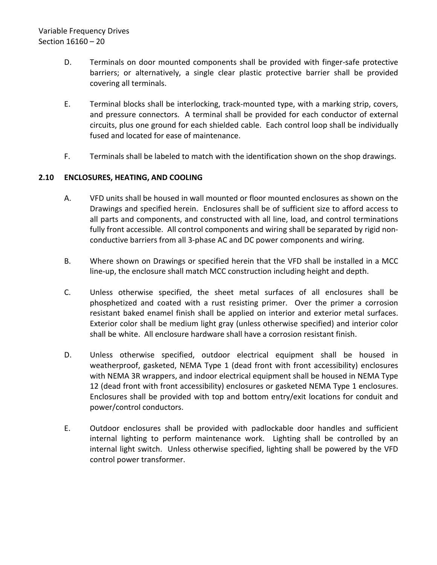- D. Terminals on door mounted components shall be provided with finger-safe protective barriers; or alternatively, a single clear plastic protective barrier shall be provided covering all terminals.
- E. Terminal blocks shall be interlocking, track-mounted type, with a marking strip, covers, and pressure connectors. A terminal shall be provided for each conductor of external circuits, plus one ground for each shielded cable. Each control loop shall be individually fused and located for ease of maintenance.
- F. Terminals shall be labeled to match with the identification shown on the shop drawings.

# <span id="page-21-0"></span>**2.10 ENCLOSURES, HEATING, AND COOLING**

- A. VFD units shall be housed in wall mounted or floor mounted enclosures as shown on the Drawings and specified herein. Enclosures shall be of sufficient size to afford access to all parts and components, and constructed with all line, load, and control terminations fully front accessible. All control components and wiring shall be separated by rigid nonconductive barriers from all 3-phase AC and DC power components and wiring.
- B. Where shown on Drawings or specified herein that the VFD shall be installed in a MCC line-up, the enclosure shall match MCC construction including height and depth.
- C. Unless otherwise specified, the sheet metal surfaces of all enclosures shall be phosphetized and coated with a rust resisting primer. Over the primer a corrosion resistant baked enamel finish shall be applied on interior and exterior metal surfaces. Exterior color shall be medium light gray (unless otherwise specified) and interior color shall be white. All enclosure hardware shall have a corrosion resistant finish.
- D. Unless otherwise specified, outdoor electrical equipment shall be housed in weatherproof, gasketed, NEMA Type 1 (dead front with front accessibility) enclosures with NEMA 3R wrappers, and indoor electrical equipment shall be housed in NEMA Type 12 (dead front with front accessibility) enclosures or gasketed NEMA Type 1 enclosures. Enclosures shall be provided with top and bottom entry/exit locations for conduit and power/control conductors.
- E. Outdoor enclosures shall be provided with padlockable door handles and sufficient internal lighting to perform maintenance work. Lighting shall be controlled by an internal light switch. Unless otherwise specified, lighting shall be powered by the VFD control power transformer.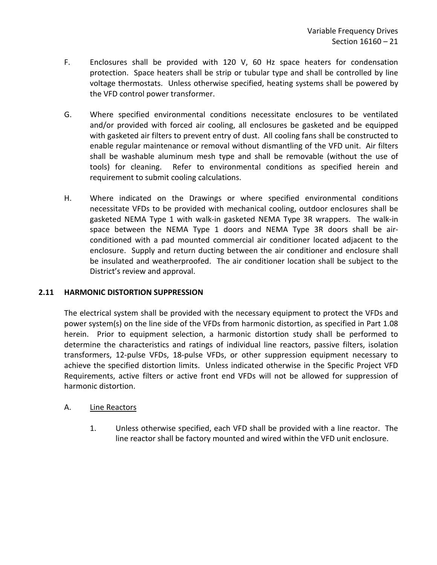- F. Enclosures shall be provided with 120 V, 60 Hz space heaters for condensation protection. Space heaters shall be strip or tubular type and shall be controlled by line voltage thermostats. Unless otherwise specified, heating systems shall be powered by the VFD control power transformer.
- G. Where specified environmental conditions necessitate enclosures to be ventilated and/or provided with forced air cooling, all enclosures be gasketed and be equipped with gasketed air filters to prevent entry of dust. All cooling fans shall be constructed to enable regular maintenance or removal without dismantling of the VFD unit. Air filters shall be washable aluminum mesh type and shall be removable (without the use of tools) for cleaning. Refer to environmental conditions as specified herein and requirement to submit cooling calculations.
- H. Where indicated on the Drawings or where specified environmental conditions necessitate VFDs to be provided with mechanical cooling, outdoor enclosures shall be gasketed NEMA Type 1 with walk-in gasketed NEMA Type 3R wrappers. The walk-in space between the NEMA Type 1 doors and NEMA Type 3R doors shall be airconditioned with a pad mounted commercial air conditioner located adjacent to the enclosure. Supply and return ducting between the air conditioner and enclosure shall be insulated and weatherproofed. The air conditioner location shall be subject to the District's review and approval.

## <span id="page-22-0"></span>**2.11 HARMONIC DISTORTION SUPPRESSION**

The electrical system shall be provided with the necessary equipment to protect the VFDs and power system(s) on the line side of the VFDs from harmonic distortion, as specified in Part 1.08 herein. Prior to equipment selection, a harmonic distortion study shall be performed to determine the characteristics and ratings of individual line reactors, passive filters, isolation transformers, 12-pulse VFDs, 18-pulse VFDs, or other suppression equipment necessary to achieve the specified distortion limits. Unless indicated otherwise in the Specific Project VFD Requirements, active filters or active front end VFDs will not be allowed for suppression of harmonic distortion.

## A. Line Reactors

1. Unless otherwise specified, each VFD shall be provided with a line reactor. The line reactor shall be factory mounted and wired within the VFD unit enclosure.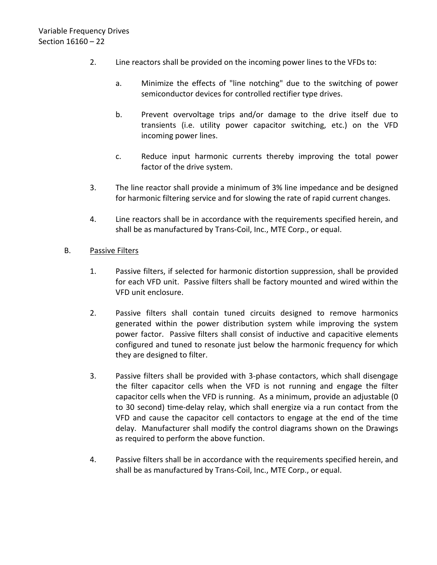- 2. Line reactors shall be provided on the incoming power lines to the VFDs to:
	- a. Minimize the effects of "line notching" due to the switching of power semiconductor devices for controlled rectifier type drives.
	- b. Prevent overvoltage trips and/or damage to the drive itself due to transients (i.e. utility power capacitor switching, etc.) on the VFD incoming power lines.
	- c. Reduce input harmonic currents thereby improving the total power factor of the drive system.
- 3. The line reactor shall provide a minimum of 3% line impedance and be designed for harmonic filtering service and for slowing the rate of rapid current changes.
- 4. Line reactors shall be in accordance with the requirements specified herein, and shall be as manufactured by Trans-Coil, Inc., MTE Corp., or equal.

# B. Passive Filters

- 1. Passive filters, if selected for harmonic distortion suppression, shall be provided for each VFD unit. Passive filters shall be factory mounted and wired within the VFD unit enclosure.
- 2. Passive filters shall contain tuned circuits designed to remove harmonics generated within the power distribution system while improving the system power factor. Passive filters shall consist of inductive and capacitive elements configured and tuned to resonate just below the harmonic frequency for which they are designed to filter.
- 3. Passive filters shall be provided with 3-phase contactors, which shall disengage the filter capacitor cells when the VFD is not running and engage the filter capacitor cells when the VFD is running. As a minimum, provide an adjustable (0 to 30 second) time-delay relay, which shall energize via a run contact from the VFD and cause the capacitor cell contactors to engage at the end of the time delay. Manufacturer shall modify the control diagrams shown on the Drawings as required to perform the above function.
- 4. Passive filters shall be in accordance with the requirements specified herein, and shall be as manufactured by Trans-Coil, Inc., MTE Corp., or equal.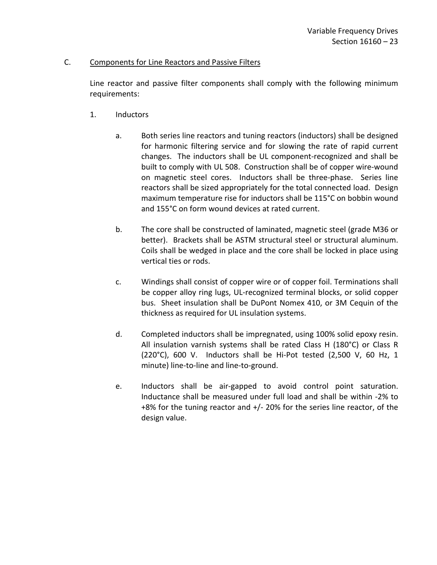### C. Components for Line Reactors and Passive Filters

Line reactor and passive filter components shall comply with the following minimum requirements:

- 1. Inductors
	- a. Both series line reactors and tuning reactors (inductors) shall be designed for harmonic filtering service and for slowing the rate of rapid current changes. The inductors shall be UL component-recognized and shall be built to comply with UL 508. Construction shall be of copper wire-wound on magnetic steel cores. Inductors shall be three-phase. Series line reactors shall be sized appropriately for the total connected load. Design maximum temperature rise for inductors shall be 115°C on bobbin wound and 155°C on form wound devices at rated current.
	- b. The core shall be constructed of laminated, magnetic steel (grade M36 or better). Brackets shall be ASTM structural steel or structural aluminum. Coils shall be wedged in place and the core shall be locked in place using vertical ties or rods.
	- c. Windings shall consist of copper wire or of copper foil. Terminations shall be copper alloy ring lugs, UL-recognized terminal blocks, or solid copper bus. Sheet insulation shall be DuPont Nomex 410, or 3M Cequin of the thickness as required for UL insulation systems.
	- d. Completed inductors shall be impregnated, using 100% solid epoxy resin. All insulation varnish systems shall be rated Class H (180°C) or Class R (220°C), 600 V. Inductors shall be Hi-Pot tested (2,500 V, 60 Hz, 1 minute) line-to-line and line-to-ground.
	- e. Inductors shall be air-gapped to avoid control point saturation. Inductance shall be measured under full load and shall be within -2% to +8% for the tuning reactor and +/- 20% for the series line reactor, of the design value.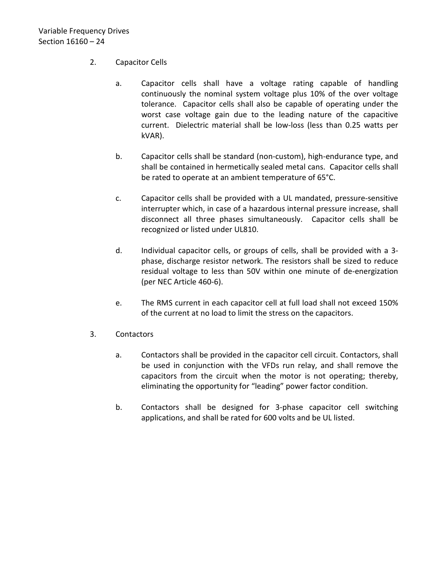- 2. Capacitor Cells
	- a. Capacitor cells shall have a voltage rating capable of handling continuously the nominal system voltage plus 10% of the over voltage tolerance. Capacitor cells shall also be capable of operating under the worst case voltage gain due to the leading nature of the capacitive current. Dielectric material shall be low-loss (less than 0.25 watts per kVAR).
	- b. Capacitor cells shall be standard (non-custom), high-endurance type, and shall be contained in hermetically sealed metal cans. Capacitor cells shall be rated to operate at an ambient temperature of 65°C.
	- c. Capacitor cells shall be provided with a UL mandated, pressure-sensitive interrupter which, in case of a hazardous internal pressure increase, shall disconnect all three phases simultaneously. Capacitor cells shall be recognized or listed under UL810.
	- d. Individual capacitor cells, or groups of cells, shall be provided with a 3 phase, discharge resistor network. The resistors shall be sized to reduce residual voltage to less than 50V within one minute of de-energization (per NEC Article 460-6).
	- e. The RMS current in each capacitor cell at full load shall not exceed 150% of the current at no load to limit the stress on the capacitors.
- 3. Contactors
	- a. Contactors shall be provided in the capacitor cell circuit. Contactors, shall be used in conjunction with the VFDs run relay, and shall remove the capacitors from the circuit when the motor is not operating; thereby, eliminating the opportunity for "leading" power factor condition.
	- b. Contactors shall be designed for 3-phase capacitor cell switching applications, and shall be rated for 600 volts and be UL listed.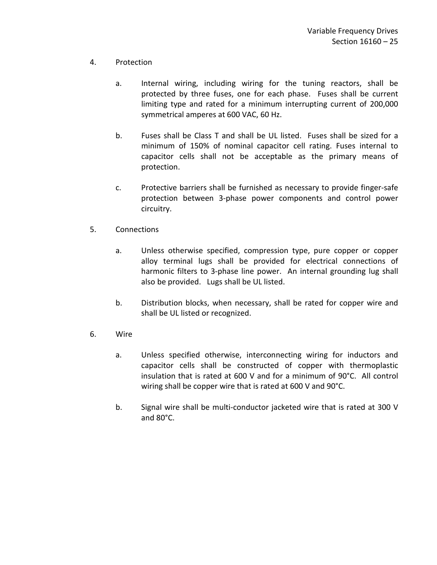# 4. Protection

- a. Internal wiring, including wiring for the tuning reactors, shall be protected by three fuses, one for each phase. Fuses shall be current limiting type and rated for a minimum interrupting current of 200,000 symmetrical amperes at 600 VAC, 60 Hz.
- b. Fuses shall be Class T and shall be UL listed. Fuses shall be sized for a minimum of 150% of nominal capacitor cell rating. Fuses internal to capacitor cells shall not be acceptable as the primary means of protection.
- c. Protective barriers shall be furnished as necessary to provide finger-safe protection between 3-phase power components and control power circuitry.
- 5. Connections
	- a. Unless otherwise specified, compression type, pure copper or copper alloy terminal lugs shall be provided for electrical connections of harmonic filters to 3-phase line power. An internal grounding lug shall also be provided. Lugs shall be UL listed.
	- b. Distribution blocks, when necessary, shall be rated for copper wire and shall be UL listed or recognized.
- 6. Wire
	- a. Unless specified otherwise, interconnecting wiring for inductors and capacitor cells shall be constructed of copper with thermoplastic insulation that is rated at 600 V and for a minimum of 90°C. All control wiring shall be copper wire that is rated at 600 V and 90°C.
	- b. Signal wire shall be multi-conductor jacketed wire that is rated at 300 V and 80°C.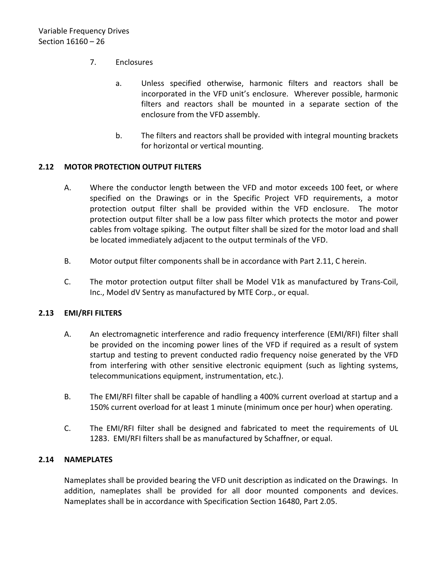# 7. Enclosures

- a. Unless specified otherwise, harmonic filters and reactors shall be incorporated in the VFD unit's enclosure. Wherever possible, harmonic filters and reactors shall be mounted in a separate section of the enclosure from the VFD assembly.
- b. The filters and reactors shall be provided with integral mounting brackets for horizontal or vertical mounting.

## <span id="page-27-0"></span>**2.12 MOTOR PROTECTION OUTPUT FILTERS**

- A. Where the conductor length between the VFD and motor exceeds 100 feet, or where specified on the Drawings or in the Specific Project VFD requirements, a motor protection output filter shall be provided within the VFD enclosure. The motor protection output filter shall be a low pass filter which protects the motor and power cables from voltage spiking. The output filter shall be sized for the motor load and shall be located immediately adjacent to the output terminals of the VFD.
- B. Motor output filter components shall be in accordance with Part 2.11, C herein.
- C. The motor protection output filter shall be Model V1k as manufactured by Trans-Coil, Inc., Model dV Sentry as manufactured by MTE Corp., or equal.

## <span id="page-27-1"></span>**2.13 EMI/RFI FILTERS**

- A. An electromagnetic interference and radio frequency interference (EMI/RFI) filter shall be provided on the incoming power lines of the VFD if required as a result of system startup and testing to prevent conducted radio frequency noise generated by the VFD from interfering with other sensitive electronic equipment (such as lighting systems, telecommunications equipment, instrumentation, etc.).
- B. The EMI/RFI filter shall be capable of handling a 400% current overload at startup and a 150% current overload for at least 1 minute (minimum once per hour) when operating.
- C. The EMI/RFI filter shall be designed and fabricated to meet the requirements of UL 1283. EMI/RFI filters shall be as manufactured by Schaffner, or equal.

## <span id="page-27-2"></span>**2.14 NAMEPLATES**

Nameplates shall be provided bearing the VFD unit description as indicated on the Drawings. In addition, nameplates shall be provided for all door mounted components and devices. Nameplates shall be in accordance with Specification Section 16480, Part 2.05.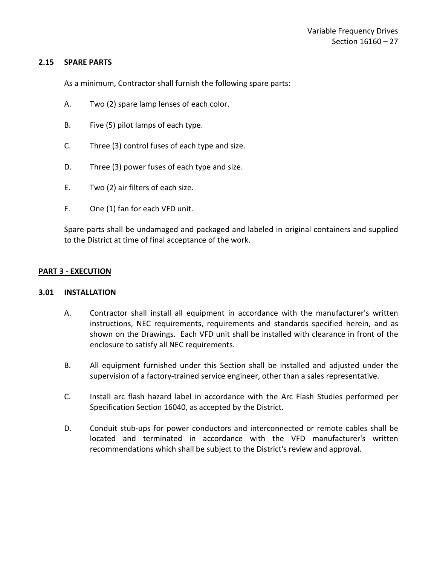### <span id="page-28-0"></span>**2.15 SPARE PARTS**

As a minimum, Contractor shall furnish the following spare parts:

- A. Two (2) spare lamp lenses of each color.
- B. Five (5) pilot lamps of each type.
- C. Three (3) control fuses of each type and size.
- D. Three (3) power fuses of each type and size.
- E. Two (2) air filters of each size.
- F. One (1) fan for each VFD unit.

Spare parts shall be undamaged and packaged and labeled in original containers and supplied to the District at time of final acceptance of the work.

## <span id="page-28-1"></span>**PART 3 - EXECUTION**

#### <span id="page-28-2"></span>**3.01 INSTALLATION**

- A. Contractor shall install all equipment in accordance with the manufacturer's written instructions, NEC requirements, requirements and standards specified herein, and as shown on the Drawings. Each VFD unit shall be installed with clearance in front of the enclosure to satisfy all NEC requirements.
- B. All equipment furnished under this Section shall be installed and adjusted under the supervision of a factory-trained service engineer, other than a sales representative.
- C. Install arc flash hazard label in accordance with the Arc Flash Studies performed per Specification Section 16040, as accepted by the District.
- D. Conduit stub-ups for power conductors and interconnected or remote cables shall be located and terminated in accordance with the VFD manufacturer's written recommendations which shall be subject to the District's review and approval.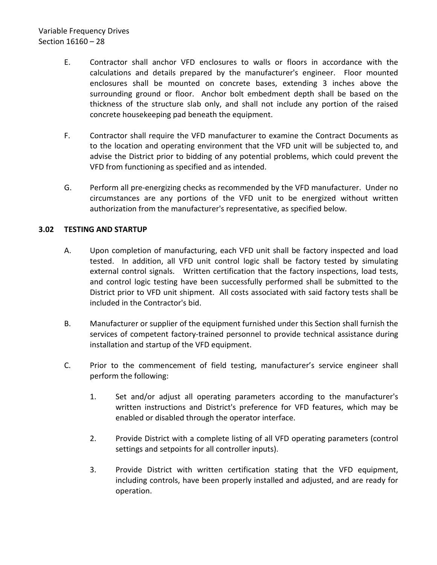# Variable Frequency Drives Section 16160 – 28

- E. Contractor shall anchor VFD enclosures to walls or floors in accordance with the calculations and details prepared by the manufacturer's engineer. Floor mounted enclosures shall be mounted on concrete bases, extending 3 inches above the surrounding ground or floor. Anchor bolt embedment depth shall be based on the thickness of the structure slab only, and shall not include any portion of the raised concrete housekeeping pad beneath the equipment.
- F. Contractor shall require the VFD manufacturer to examine the Contract Documents as to the location and operating environment that the VFD unit will be subjected to, and advise the District prior to bidding of any potential problems, which could prevent the VFD from functioning as specified and as intended.
- G. Perform all pre-energizing checks as recommended by the VFD manufacturer. Under no circumstances are any portions of the VFD unit to be energized without written authorization from the manufacturer's representative, as specified below.

# <span id="page-29-0"></span>**3.02 TESTING AND STARTUP**

- A. Upon completion of manufacturing, each VFD unit shall be factory inspected and load tested. In addition, all VFD unit control logic shall be factory tested by simulating external control signals. Written certification that the factory inspections, load tests, and control logic testing have been successfully performed shall be submitted to the District prior to VFD unit shipment. All costs associated with said factory tests shall be included in the Contractor's bid.
- B. Manufacturer or supplier of the equipment furnished under this Section shall furnish the services of competent factory-trained personnel to provide technical assistance during installation and startup of the VFD equipment.
- C. Prior to the commencement of field testing, manufacturer's service engineer shall perform the following:
	- 1. Set and/or adjust all operating parameters according to the manufacturer's written instructions and District's preference for VFD features, which may be enabled or disabled through the operator interface.
	- 2. Provide District with a complete listing of all VFD operating parameters (control settings and setpoints for all controller inputs).
	- 3. Provide District with written certification stating that the VFD equipment, including controls, have been properly installed and adjusted, and are ready for operation.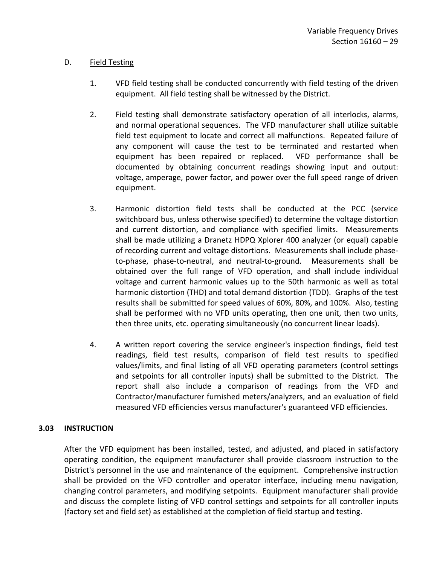# D. Field Testing

- 1. VFD field testing shall be conducted concurrently with field testing of the driven equipment. All field testing shall be witnessed by the District.
- 2. Field testing shall demonstrate satisfactory operation of all interlocks, alarms, and normal operational sequences. The VFD manufacturer shall utilize suitable field test equipment to locate and correct all malfunctions. Repeated failure of any component will cause the test to be terminated and restarted when equipment has been repaired or replaced. VFD performance shall be documented by obtaining concurrent readings showing input and output: voltage, amperage, power factor, and power over the full speed range of driven equipment.
- 3. Harmonic distortion field tests shall be conducted at the PCC (service switchboard bus, unless otherwise specified) to determine the voltage distortion and current distortion, and compliance with specified limits. Measurements shall be made utilizing a Dranetz HDPQ Xplorer 400 analyzer (or equal) capable of recording current and voltage distortions. Measurements shall include phaseto-phase, phase-to-neutral, and neutral-to-ground. Measurements shall be obtained over the full range of VFD operation, and shall include individual voltage and current harmonic values up to the 50th harmonic as well as total harmonic distortion (THD) and total demand distortion (TDD). Graphs of the test results shall be submitted for speed values of 60%, 80%, and 100%. Also, testing shall be performed with no VFD units operating, then one unit, then two units, then three units, etc. operating simultaneously (no concurrent linear loads).
- 4. A written report covering the service engineer's inspection findings, field test readings, field test results, comparison of field test results to specified values/limits, and final listing of all VFD operating parameters (control settings and setpoints for all controller inputs) shall be submitted to the District. The report shall also include a comparison of readings from the VFD and Contractor/manufacturer furnished meters/analyzers, and an evaluation of field measured VFD efficiencies versus manufacturer's guaranteed VFD efficiencies.

## <span id="page-30-0"></span>**3.03 INSTRUCTION**

After the VFD equipment has been installed, tested, and adjusted, and placed in satisfactory operating condition, the equipment manufacturer shall provide classroom instruction to the District's personnel in the use and maintenance of the equipment. Comprehensive instruction shall be provided on the VFD controller and operator interface, including menu navigation, changing control parameters, and modifying setpoints. Equipment manufacturer shall provide and discuss the complete listing of VFD control settings and setpoints for all controller inputs (factory set and field set) as established at the completion of field startup and testing.